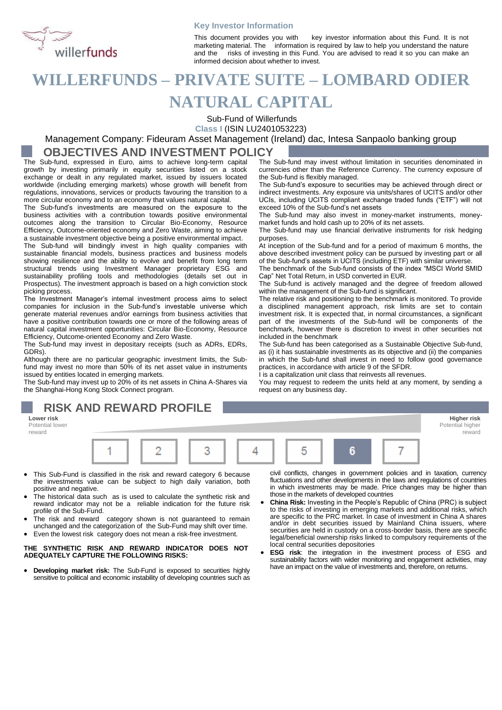

#### **Key Investor Information**

This document provides you with key investor information about this Fund. It is not marketing material. The information is required by law to help you understand the nature and the risks of investing in this Fund. You are advised to read it so you can make an informed decision about whether to invest.

# **WILLERFUNDS – PRIVATE SUITE – LOMBARD ODIER NATURAL CAPITAL**

Sub-Fund of Willerfunds

**Class I** (ISIN LU2401053223)

# Management Company: Fideuram Asset Management (Ireland) dac, Intesa Sanpaolo banking group

### **OBJECTIVES AND INVESTMENT POLICY**

The Sub-fund, expressed in Euro, aims to achieve long-term capital growth by investing primarily in equity securities listed on a stock exchange or dealt in any regulated market, issued by issuers located worldwide (including emerging markets) whose growth will benefit from regulations, innovations, services or products favouring the transition to a more circular economy and to an economy that values natural capital.

The Sub-fund's investments are measured on the exposure to the business activities with a contribution towards positive environmental outcomes along the transition to Circular Bio-Economy, Resource Efficiency, Outcome-oriented economy and Zero Waste, aiming to achieve a sustainable investment objective being a positive environmental impact.

The Sub-fund will bindingly invest in high quality companies with sustainable financial models, business practices and business models showing resilience and the ability to evolve and benefit from long term structural trends using Investment Manager proprietary ESG and sustainability profiling tools and methodologies (details set out in Prospectus). The investment approach is based on a high conviction stock picking process.

The Investment Manager's internal investment process aims to select companies for inclusion in the Sub-fund's investable universe which generate material revenues and/or earnings from business activities that have a positive contribution towards one or more of the following areas of natural capital investment opportunities: Circular Bio-Economy, Resource Efficiency, Outcome-oriented Economy and Zero Waste.

The Sub-fund may invest in depositary receipts (such as ADRs, EDRs, GDRs).

Although there are no particular geographic investment limits, the Subfund may invest no more than 50% of its net asset value in instruments issued by entities located in emerging markets.

The Sub-fund may invest up to 20% of its net assets in China A-Shares via the Shanghai-Hong Kong Stock Connect program.

The Sub-fund may invest without limitation in securities denominated in currencies other than the Reference Currency. The currency exposure of the Sub-fund is flexibly managed.

The Sub-fund's exposure to securities may be achieved through direct or indirect investments. Any exposure via units/shares of UCITS and/or other UCIs, including UCITS compliant exchange traded funds ("ETF") will not exceed 10% of the Sub-fund's net assets

The Sub-fund may also invest in money-market instruments, moneymarket funds and hold cash up to 20% of its net assets.

The Sub-fund may use financial derivative instruments for risk hedging purposes.

At inception of the Sub-fund and for a period of maximum 6 months, the above described investment policy can be pursued by investing part or all of the Sub-fund's assets in UCITS (including ETF) with similar universe.

The benchmark of the Sub-fund consists of the index "MSCI World SMID Cap" Net Total Return, in USD converted in EUR.

The Sub-fund is actively managed and the degree of freedom allowed within the management of the Sub-fund is significant.

The relative risk and positioning to the benchmark is monitored. To provide a disciplined management approach, risk limits are set to contain investment risk. It is expected that, in normal circumstances, a significant part of the investments of the Sub-fund will be components of the benchmark, however there is discretion to invest in other securities not included in the benchmark

The Sub-fund has been categorised as a Sustainable Objective Sub-fund, as (i) it has sustainable investments as its objective and (ii) the companies in which the Sub-fund shall invest in need to follow good governance practices, in accordance with article 9 of the SFDR.

I is a capitalization unit class that reinvests all revenues.

You may request to redeem the units held at any moment, by sending a request on any business day.



- This Sub-Fund is classified in the risk and reward category 6 because the investments value can be subject to high daily variation, both positive and negative.
- The historical data such as is used to calculate the synthetic risk and reward indicator may not be a reliable indication for the future risk profile of the Sub-Fund.
- The risk and reward category shown is not guaranteed to remain unchanged and the categorization of the Sub-Fund may shift over time.
- Even the lowest risk category does not mean a risk-free investment.

#### **THE SYNTHETIC RISK AND REWARD INDICATOR DOES NOT ADEQUATELY CAPTURE THE FOLLOWING RISKS:**

• **Developing market risk:** The Sub-Fund is exposed to securities highly sensitive to political and economic instability of developing countries such as civil conflicts, changes in government policies and in taxation, currency fluctuations and other developments in the laws and regulations of countries in which investments may be made. Price changes may be higher than those in the markets of developed countries

- **China Risk:** Investing in the People's Republic of China (PRC) is subject to the risks of investing in emerging markets and additional risks, which are specific to the PRC market. In case of investment in China A shares and/or in debt securities issued by Mainland China issuers, where securities are held in custody on a cross-border basis, there are specific legal/beneficial ownership risks linked to compulsory requirements of the local central securities depositories
- **ESG risk**: the integration in the investment process of ESG and sustainability factors with wider monitoring and engagement activities, may have an impact on the value of investments and, therefore, on returns.